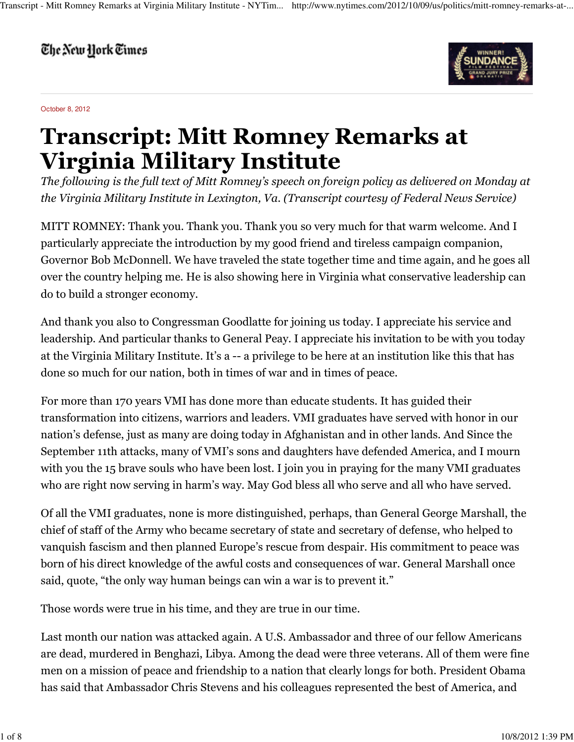## The New York Times

October 8, 2012



## Transcript: Mitt Romney Remarks at Virginia Military Institute

The following is the full text of Mitt Romney's speech on foreign policy as delivered on Monday at the Virginia Military Institute in Lexington, Va. (Transcript courtesy of Federal News Service)

MITT ROMNEY: Thank you. Thank you. Thank you so very much for that warm welcome. And I particularly appreciate the introduction by my good friend and tireless campaign companion, Governor Bob McDonnell. We have traveled the state together time and time again, and he goes all over the country helping me. He is also showing here in Virginia what conservative leadership can do to build a stronger economy.

And thank you also to Congressman Goodlatte for joining us today. I appreciate his service and leadership. And particular thanks to General Peay. I appreciate his invitation to be with you today at the Virginia Military Institute. It's a -- a privilege to be here at an institution like this that has done so much for our nation, both in times of war and in times of peace.

For more than 170 years VMI has done more than educate students. It has guided their transformation into citizens, warriors and leaders. VMI graduates have served with honor in our nation's defense, just as many are doing today in Afghanistan and in other lands. And Since the September 11th attacks, many of VMI's sons and daughters have defended America, and I mourn with you the 15 brave souls who have been lost. I join you in praying for the many VMI graduates who are right now serving in harm's way. May God bless all who serve and all who have served.

Of all the VMI graduates, none is more distinguished, perhaps, than General George Marshall, the chief of staff of the Army who became secretary of state and secretary of defense, who helped to vanquish fascism and then planned Europe's rescue from despair. His commitment to peace was born of his direct knowledge of the awful costs and consequences of war. General Marshall once said, quote, "the only way human beings can win a war is to prevent it."

Those words were true in his time, and they are true in our time.

Last month our nation was attacked again. A U.S. Ambassador and three of our fellow Americans are dead, murdered in Benghazi, Libya. Among the dead were three veterans. All of them were fine men on a mission of peace and friendship to a nation that clearly longs for both. President Obama has said that Ambassador Chris Stevens and his colleagues represented the best of America, and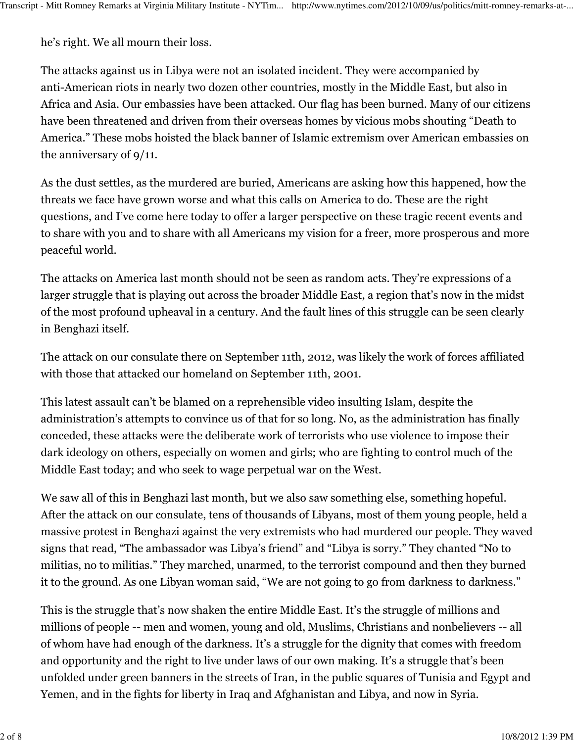he's right. We all mourn their loss.

The attacks against us in Libya were not an isolated incident. They were accompanied by anti-American riots in nearly two dozen other countries, mostly in the Middle East, but also in Africa and Asia. Our embassies have been attacked. Our flag has been burned. Many of our citizens have been threatened and driven from their overseas homes by vicious mobs shouting "Death to America." These mobs hoisted the black banner of Islamic extremism over American embassies on the anniversary of 9/11.

As the dust settles, as the murdered are buried, Americans are asking how this happened, how the threats we face have grown worse and what this calls on America to do. These are the right questions, and I've come here today to offer a larger perspective on these tragic recent events and to share with you and to share with all Americans my vision for a freer, more prosperous and more peaceful world.

The attacks on America last month should not be seen as random acts. They're expressions of a larger struggle that is playing out across the broader Middle East, a region that's now in the midst of the most profound upheaval in a century. And the fault lines of this struggle can be seen clearly in Benghazi itself.

The attack on our consulate there on September 11th, 2012, was likely the work of forces affiliated with those that attacked our homeland on September 11th, 2001.

This latest assault can't be blamed on a reprehensible video insulting Islam, despite the administration's attempts to convince us of that for so long. No, as the administration has finally conceded, these attacks were the deliberate work of terrorists who use violence to impose their dark ideology on others, especially on women and girls; who are fighting to control much of the Middle East today; and who seek to wage perpetual war on the West.

We saw all of this in Benghazi last month, but we also saw something else, something hopeful. After the attack on our consulate, tens of thousands of Libyans, most of them young people, held a massive protest in Benghazi against the very extremists who had murdered our people. They waved signs that read, "The ambassador was Libya's friend" and "Libya is sorry." They chanted "No to militias, no to militias." They marched, unarmed, to the terrorist compound and then they burned it to the ground. As one Libyan woman said, "We are not going to go from darkness to darkness."

This is the struggle that's now shaken the entire Middle East. It's the struggle of millions and millions of people -- men and women, young and old, Muslims, Christians and nonbelievers -- all of whom have had enough of the darkness. It's a struggle for the dignity that comes with freedom and opportunity and the right to live under laws of our own making. It's a struggle that's been unfolded under green banners in the streets of Iran, in the public squares of Tunisia and Egypt and Yemen, and in the fights for liberty in Iraq and Afghanistan and Libya, and now in Syria.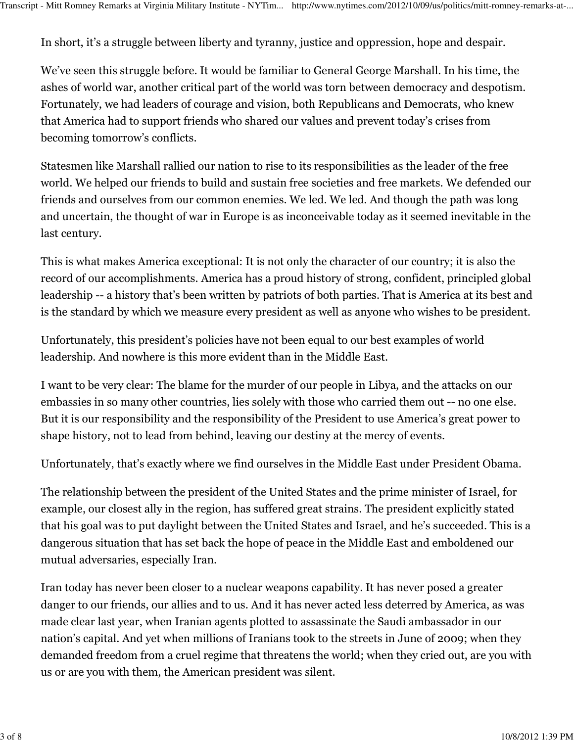In short, it's a struggle between liberty and tyranny, justice and oppression, hope and despair.

We've seen this struggle before. It would be familiar to General George Marshall. In his time, the ashes of world war, another critical part of the world was torn between democracy and despotism. Fortunately, we had leaders of courage and vision, both Republicans and Democrats, who knew that America had to support friends who shared our values and prevent today's crises from becoming tomorrow's conflicts.

Statesmen like Marshall rallied our nation to rise to its responsibilities as the leader of the free world. We helped our friends to build and sustain free societies and free markets. We defended our friends and ourselves from our common enemies. We led. We led. And though the path was long and uncertain, the thought of war in Europe is as inconceivable today as it seemed inevitable in the last century.

This is what makes America exceptional: It is not only the character of our country; it is also the record of our accomplishments. America has a proud history of strong, confident, principled global leadership -- a history that's been written by patriots of both parties. That is America at its best and is the standard by which we measure every president as well as anyone who wishes to be president.

Unfortunately, this president's policies have not been equal to our best examples of world leadership. And nowhere is this more evident than in the Middle East.

I want to be very clear: The blame for the murder of our people in Libya, and the attacks on our embassies in so many other countries, lies solely with those who carried them out -- no one else. But it is our responsibility and the responsibility of the President to use America's great power to shape history, not to lead from behind, leaving our destiny at the mercy of events.

Unfortunately, that's exactly where we find ourselves in the Middle East under President Obama.

The relationship between the president of the United States and the prime minister of Israel, for example, our closest ally in the region, has suffered great strains. The president explicitly stated that his goal was to put daylight between the United States and Israel, and he's succeeded. This is a dangerous situation that has set back the hope of peace in the Middle East and emboldened our mutual adversaries, especially Iran.

Iran today has never been closer to a nuclear weapons capability. It has never posed a greater danger to our friends, our allies and to us. And it has never acted less deterred by America, as was made clear last year, when Iranian agents plotted to assassinate the Saudi ambassador in our nation's capital. And yet when millions of Iranians took to the streets in June of 2009; when they demanded freedom from a cruel regime that threatens the world; when they cried out, are you with us or are you with them, the American president was silent.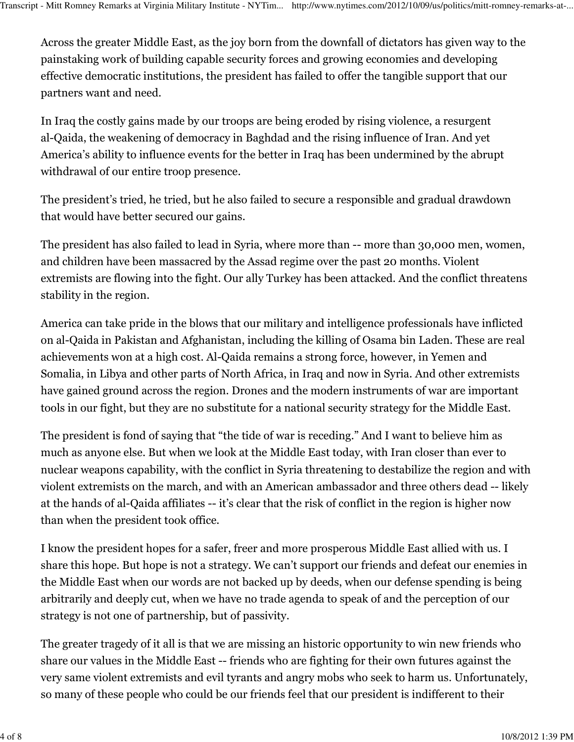Across the greater Middle East, as the joy born from the downfall of dictators has given way to the painstaking work of building capable security forces and growing economies and developing effective democratic institutions, the president has failed to offer the tangible support that our partners want and need.

In Iraq the costly gains made by our troops are being eroded by rising violence, a resurgent al-Qaida, the weakening of democracy in Baghdad and the rising influence of Iran. And yet America's ability to influence events for the better in Iraq has been undermined by the abrupt withdrawal of our entire troop presence.

The president's tried, he tried, but he also failed to secure a responsible and gradual drawdown that would have better secured our gains.

The president has also failed to lead in Syria, where more than -- more than 30,000 men, women, and children have been massacred by the Assad regime over the past 20 months. Violent extremists are flowing into the fight. Our ally Turkey has been attacked. And the conflict threatens stability in the region.

America can take pride in the blows that our military and intelligence professionals have inflicted on al-Qaida in Pakistan and Afghanistan, including the killing of Osama bin Laden. These are real achievements won at a high cost. Al-Qaida remains a strong force, however, in Yemen and Somalia, in Libya and other parts of North Africa, in Iraq and now in Syria. And other extremists have gained ground across the region. Drones and the modern instruments of war are important tools in our fight, but they are no substitute for a national security strategy for the Middle East.

The president is fond of saying that "the tide of war is receding." And I want to believe him as much as anyone else. But when we look at the Middle East today, with Iran closer than ever to nuclear weapons capability, with the conflict in Syria threatening to destabilize the region and with violent extremists on the march, and with an American ambassador and three others dead -- likely at the hands of al-Qaida affiliates -- it's clear that the risk of conflict in the region is higher now than when the president took office.

I know the president hopes for a safer, freer and more prosperous Middle East allied with us. I share this hope. But hope is not a strategy. We can't support our friends and defeat our enemies in the Middle East when our words are not backed up by deeds, when our defense spending is being arbitrarily and deeply cut, when we have no trade agenda to speak of and the perception of our strategy is not one of partnership, but of passivity.

The greater tragedy of it all is that we are missing an historic opportunity to win new friends who share our values in the Middle East -- friends who are fighting for their own futures against the very same violent extremists and evil tyrants and angry mobs who seek to harm us. Unfortunately, so many of these people who could be our friends feel that our president is indifferent to their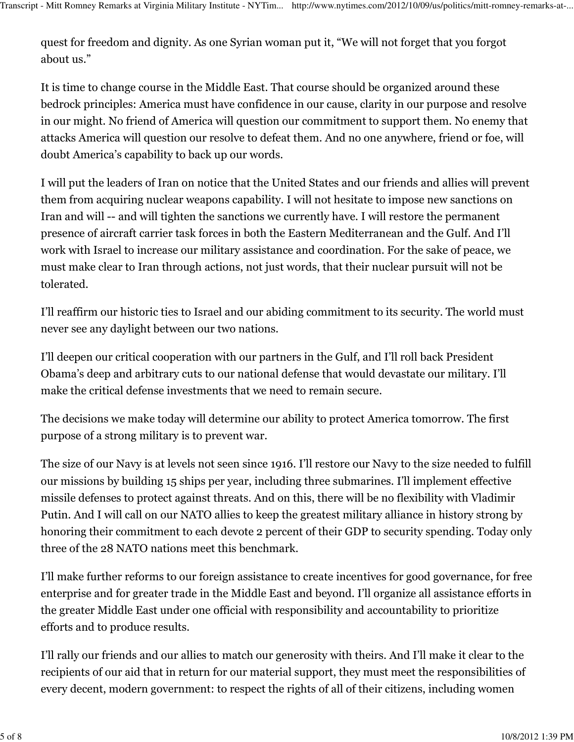quest for freedom and dignity. As one Syrian woman put it, "We will not forget that you forgot about us."

It is time to change course in the Middle East. That course should be organized around these bedrock principles: America must have confidence in our cause, clarity in our purpose and resolve in our might. No friend of America will question our commitment to support them. No enemy that attacks America will question our resolve to defeat them. And no one anywhere, friend or foe, will doubt America's capability to back up our words.

I will put the leaders of Iran on notice that the United States and our friends and allies will prevent them from acquiring nuclear weapons capability. I will not hesitate to impose new sanctions on Iran and will -- and will tighten the sanctions we currently have. I will restore the permanent presence of aircraft carrier task forces in both the Eastern Mediterranean and the Gulf. And I'll work with Israel to increase our military assistance and coordination. For the sake of peace, we must make clear to Iran through actions, not just words, that their nuclear pursuit will not be tolerated.

I'll reaffirm our historic ties to Israel and our abiding commitment to its security. The world must never see any daylight between our two nations.

I'll deepen our critical cooperation with our partners in the Gulf, and I'll roll back President Obama's deep and arbitrary cuts to our national defense that would devastate our military. I'll make the critical defense investments that we need to remain secure.

The decisions we make today will determine our ability to protect America tomorrow. The first purpose of a strong military is to prevent war.

The size of our Navy is at levels not seen since 1916. I'll restore our Navy to the size needed to fulfill our missions by building 15 ships per year, including three submarines. I'll implement effective missile defenses to protect against threats. And on this, there will be no flexibility with Vladimir Putin. And I will call on our NATO allies to keep the greatest military alliance in history strong by honoring their commitment to each devote 2 percent of their GDP to security spending. Today only three of the 28 NATO nations meet this benchmark.

I'll make further reforms to our foreign assistance to create incentives for good governance, for free enterprise and for greater trade in the Middle East and beyond. I'll organize all assistance efforts in the greater Middle East under one official with responsibility and accountability to prioritize efforts and to produce results.

I'll rally our friends and our allies to match our generosity with theirs. And I'll make it clear to the recipients of our aid that in return for our material support, they must meet the responsibilities of every decent, modern government: to respect the rights of all of their citizens, including women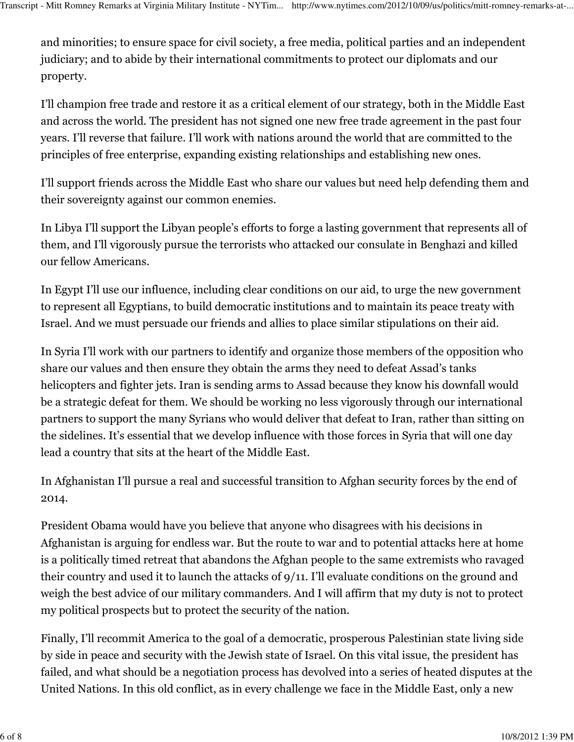and minorities; to ensure space for civil society, a free media, political parties and an independent judiciary; and to abide by their international commitments to protect our diplomats and our property.

I'll champion free trade and restore it as a critical element of our strategy, both in the Middle East and across the world. The president has not signed one new free trade agreement in the past four years. I'll reverse that failure. I'll work with nations around the world that are committed to the principles of free enterprise, expanding existing relationships and establishing new ones.

I'll support friends across the Middle East who share our values but need help defending them and their sovereignty against our common enemies.

In Libya I'll support the Libyan people's efforts to forge a lasting government that represents all of them, and I'll vigorously pursue the terrorists who attacked our consulate in Benghazi and killed our fellow Americans.

In Egypt I'll use our influence, including clear conditions on our aid, to urge the new government to represent all Egyptians, to build democratic institutions and to maintain its peace treaty with Israel. And we must persuade our friends and allies to place similar stipulations on their aid.

In Syria I'll work with our partners to identify and organize those members of the opposition who share our values and then ensure they obtain the arms they need to defeat Assad's tanks helicopters and fighter jets. Iran is sending arms to Assad because they know his downfall would be a strategic defeat for them. We should be working no less vigorously through our international partners to support the many Syrians who would deliver that defeat to Iran, rather than sitting on the sidelines. It's essential that we develop influence with those forces in Syria that will one day lead a country that sits at the heart of the Middle East.

In Afghanistan I'll pursue a real and successful transition to Afghan security forces by the end of 2014.

President Obama would have you believe that anyone who disagrees with his decisions in Afghanistan is arguing for endless war. But the route to war and to potential attacks here at home is a politically timed retreat that abandons the Afghan people to the same extremists who ravaged their country and used it to launch the attacks of 9/11. I'll evaluate conditions on the ground and weigh the best advice of our military commanders. And I will affirm that my duty is not to protect my political prospects but to protect the security of the nation.

Finally, I'll recommit America to the goal of a democratic, prosperous Palestinian state living side by side in peace and security with the Jewish state of Israel. On this vital issue, the president has failed, and what should be a negotiation process has devolved into a series of heated disputes at the United Nations. In this old conflict, as in every challenge we face in the Middle East, only a new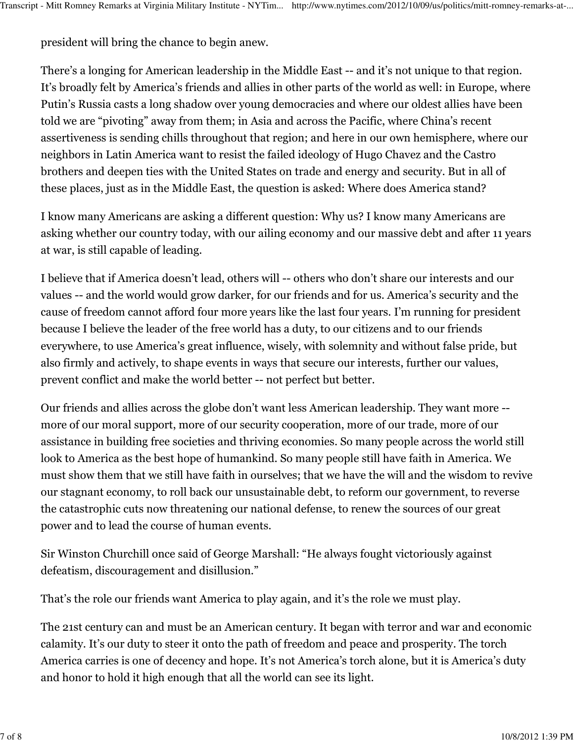president will bring the chance to begin anew.

There's a longing for American leadership in the Middle East -- and it's not unique to that region. It's broadly felt by America's friends and allies in other parts of the world as well: in Europe, where Putin's Russia casts a long shadow over young democracies and where our oldest allies have been told we are "pivoting" away from them; in Asia and across the Pacific, where China's recent assertiveness is sending chills throughout that region; and here in our own hemisphere, where our neighbors in Latin America want to resist the failed ideology of Hugo Chavez and the Castro brothers and deepen ties with the United States on trade and energy and security. But in all of these places, just as in the Middle East, the question is asked: Where does America stand?

I know many Americans are asking a different question: Why us? I know many Americans are asking whether our country today, with our ailing economy and our massive debt and after 11 years at war, is still capable of leading.

I believe that if America doesn't lead, others will -- others who don't share our interests and our values -- and the world would grow darker, for our friends and for us. America's security and the cause of freedom cannot afford four more years like the last four years. I'm running for president because I believe the leader of the free world has a duty, to our citizens and to our friends everywhere, to use America's great influence, wisely, with solemnity and without false pride, but also firmly and actively, to shape events in ways that secure our interests, further our values, prevent conflict and make the world better -- not perfect but better.

Our friends and allies across the globe don't want less American leadership. They want more - more of our moral support, more of our security cooperation, more of our trade, more of our assistance in building free societies and thriving economies. So many people across the world still look to America as the best hope of humankind. So many people still have faith in America. We must show them that we still have faith in ourselves; that we have the will and the wisdom to revive our stagnant economy, to roll back our unsustainable debt, to reform our government, to reverse the catastrophic cuts now threatening our national defense, to renew the sources of our great power and to lead the course of human events.

Sir Winston Churchill once said of George Marshall: "He always fought victoriously against defeatism, discouragement and disillusion."

That's the role our friends want America to play again, and it's the role we must play.

The 21st century can and must be an American century. It began with terror and war and economic calamity. It's our duty to steer it onto the path of freedom and peace and prosperity. The torch America carries is one of decency and hope. It's not America's torch alone, but it is America's duty and honor to hold it high enough that all the world can see its light.